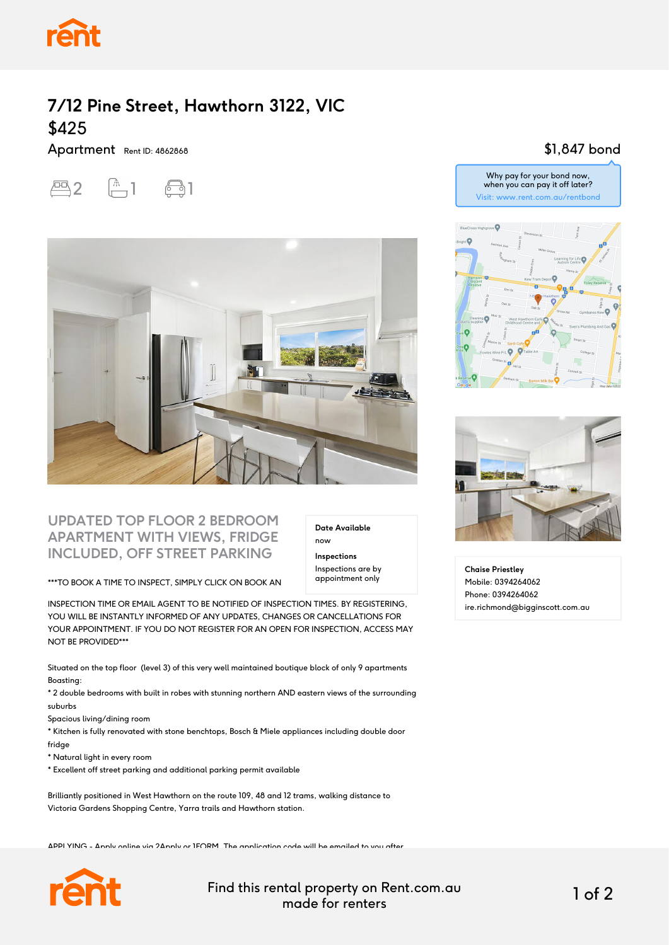

## **7/12 Pine Street, Hawthorn 3122, VIC** \$425

Apartment Rent ID: 4862868

 $2$   $\uparrow$   $\uparrow$   $\uparrow$ 



#### **UPDATED TOP FLOOR 2 BEDROOM APARTMENT WITH VIEWS, FRIDGE INCLUDED, OFF STREET PARKING**

\*\*\*TO BOOK A TIME TO INSPECT, SIMPLY CLICK ON BOOK AN

INSPECTION TIME OR EMAIL AGENT TO BE NOTIFIED OF INSPECTION TIMES. BY REGISTERING, YOU WILL BE INSTANTLY INFORMED OF ANY UPDATES, CHANGES OR CANCELLATIONS FOR YOUR APPOINTMENT. IF YOU DO NOT REGISTER FOR AN OPEN FOR INSPECTION, ACCESS MAY NOT BE PROVIDED\*\*\*

Situated on the top floor (level 3) of this very well maintained boutique block of only 9 apartments Boasting:

\* 2 double bedrooms with built in robes with stunning northern AND eastern views of the surrounding suburbs

Spacious living/dining room

\* Kitchen is fully renovated with stone benchtops, Bosch & Miele appliances including double door fridge

\* Natural light in every room

\* Excellent off street parking and additional parking permit available

Brilliantly positioned in West Hawthorn on the route 109, 48 and 12 trams, walking distance to Victoria Gardens Shopping Centre, Yarra trails and Hawthorn station.

APPLYING - Apply online via 2Apply or 1FORM. The application code will be emailed to you after



Find this rental property on Rent.com.au made for renters 1 of 2

**Date Available**

now **Inspections** Inspections are by appointment only

#### \$1,847 bond







**Chaise Priestley** Mobile: 0394264062 Phone: 0394264062 ire.richmond@bigginscott.com.au